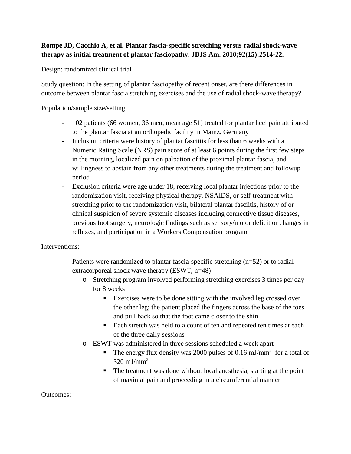## **Rompe JD, Cacchio A, et al. Plantar fascia-specific stretching versus radial shock-wave therapy as initial treatment of plantar fasciopathy. JBJS Am. 2010;92(15):2514-22.**

Design: randomized clinical trial

Study question: In the setting of plantar fasciopathy of recent onset, are there differences in outcome between plantar fascia stretching exercises and the use of radial shock-wave therapy?

Population/sample size/setting:

- 102 patients (66 women, 36 men, mean age 51) treated for plantar heel pain attributed to the plantar fascia at an orthopedic facility in Mainz, Germany
- Inclusion criteria were history of plantar fasciitis for less than 6 weeks with a Numeric Rating Scale (NRS) pain score of at least 6 points during the first few steps in the morning, localized pain on palpation of the proximal plantar fascia, and willingness to abstain from any other treatments during the treatment and followup period
- Exclusion criteria were age under 18, receiving local plantar injections prior to the randomization visit, receiving physical therapy, NSAIDS, or self-treatment with stretching prior to the randomization visit, bilateral plantar fasciitis, history of or clinical suspicion of severe systemic diseases including connective tissue diseases, previous foot surgery, neurologic findings such as sensory/motor deficit or changes in reflexes, and participation in a Workers Compensation program

## Interventions:

- Patients were randomized to plantar fascia-specific stretching (n=52) or to radial extracorporeal shock wave therapy (ESWT, n=48)
	- o Stretching program involved performing stretching exercises 3 times per day for 8 weeks
		- Exercises were to be done sitting with the involved leg crossed over the other leg; the patient placed the fingers across the base of the toes and pull back so that the foot came closer to the shin
		- Each stretch was held to a count of ten and repeated ten times at each of the three daily sessions
	- o ESWT was administered in three sessions scheduled a week apart
		- The energy flux density was 2000 pulses of 0.16 mJ/mm<sup>2</sup> for a total of 320 mJ/mm<sup>2</sup>
		- The treatment was done without local anesthesia, starting at the point of maximal pain and proceeding in a circumferential manner

Outcomes: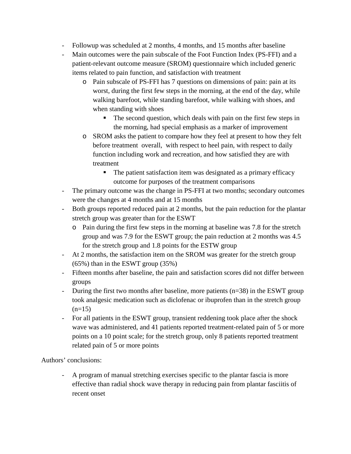- Followup was scheduled at 2 months, 4 months, and 15 months after baseline
- Main outcomes were the pain subscale of the Foot Function Index (PS-FFI) and a patient-relevant outcome measure (SROM) questionnaire which included generic items related to pain function, and satisfaction with treatment
	- o Pain subscale of PS-FFI has 7 questions on dimensions of pain: pain at its worst, during the first few steps in the morning, at the end of the day, while walking barefoot, while standing barefoot, while walking with shoes, and when standing with shoes
		- The second question, which deals with pain on the first few steps in the morning, had special emphasis as a marker of improvement
	- o SROM asks the patient to compare how they feel at present to how they felt before treatment overall, with respect to heel pain, with respect to daily function including work and recreation, and how satisfied they are with treatment
		- The patient satisfaction item was designated as a primary efficacy outcome for purposes of the treatment comparisons
- The primary outcome was the change in PS-FFI at two months; secondary outcomes were the changes at 4 months and at 15 months
- Both groups reported reduced pain at 2 months, but the pain reduction for the plantar stretch group was greater than for the ESWT
	- o Pain during the first few steps in the morning at baseline was 7.8 for the stretch group and was 7.9 for the ESWT group; the pain reduction at 2 months was 4.5 for the stretch group and 1.8 points for the ESTW group
- At 2 months, the satisfaction item on the SROM was greater for the stretch group (65%) than in the ESWT group (35%)
- Fifteen months after baseline, the pain and satisfaction scores did not differ between groups
- During the first two months after baseline, more patients (n=38) in the ESWT group took analgesic medication such as diclofenac or ibuprofen than in the stretch group  $(n=15)$
- For all patients in the ESWT group, transient reddening took place after the shock wave was administered, and 41 patients reported treatment-related pain of 5 or more points on a 10 point scale; for the stretch group, only 8 patients reported treatment related pain of 5 or more points

Authors' conclusions:

- A program of manual stretching exercises specific to the plantar fascia is more effective than radial shock wave therapy in reducing pain from plantar fasciitis of recent onset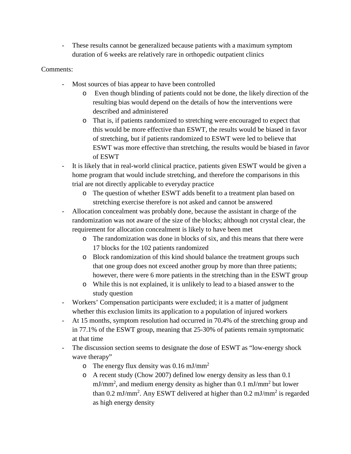- These results cannot be generalized because patients with a maximum symptom duration of 6 weeks are relatively rare in orthopedic outpatient clinics

## Comments:

- Most sources of bias appear to have been controlled
	- o Even though blinding of patients could not be done, the likely direction of the resulting bias would depend on the details of how the interventions were described and administered
	- o That is, if patients randomized to stretching were encouraged to expect that this would be more effective than ESWT, the results would be biased in favor of stretching, but if patients randomized to ESWT were led to believe that ESWT was more effective than stretching, the results would be biased in favor of ESWT
- It is likely that in real-world clinical practice, patients given ESWT would be given a home program that would include stretching, and therefore the comparisons in this trial are not directly applicable to everyday practice
	- o The question of whether ESWT adds benefit to a treatment plan based on stretching exercise therefore is not asked and cannot be answered
- Allocation concealment was probably done, because the assistant in charge of the randomization was not aware of the size of the blocks; although not crystal clear, the requirement for allocation concealment is likely to have been met
	- o The randomization was done in blocks of six, and this means that there were 17 blocks for the 102 patients randomized
	- o Block randomization of this kind should balance the treatment groups such that one group does not exceed another group by more than three patients; however, there were 6 more patients in the stretching than in the ESWT group
	- o While this is not explained, it is unlikely to lead to a biased answer to the study question
- Workers' Compensation participants were excluded; it is a matter of judgment whether this exclusion limits its application to a population of injured workers
- At 15 months, symptom resolution had occurred in 70.4% of the stretching group and in 77.1% of the ESWT group, meaning that 25-30% of patients remain symptomatic at that time
- The discussion section seems to designate the dose of ESWT as "low-energy shock" wave therapy"
	- $\circ$  The energy flux density was 0.16 mJ/mm<sup>2</sup>
	- o A recent study (Chow 2007) defined low energy density as less than 0.1 mJ/mm<sup>2</sup>, and medium energy density as higher than 0.1 mJ/mm<sup>2</sup> but lower than 0.2 mJ/mm<sup>2</sup>. Any ESWT delivered at higher than 0.2 mJ/mm<sup>2</sup> is regarded as high energy density